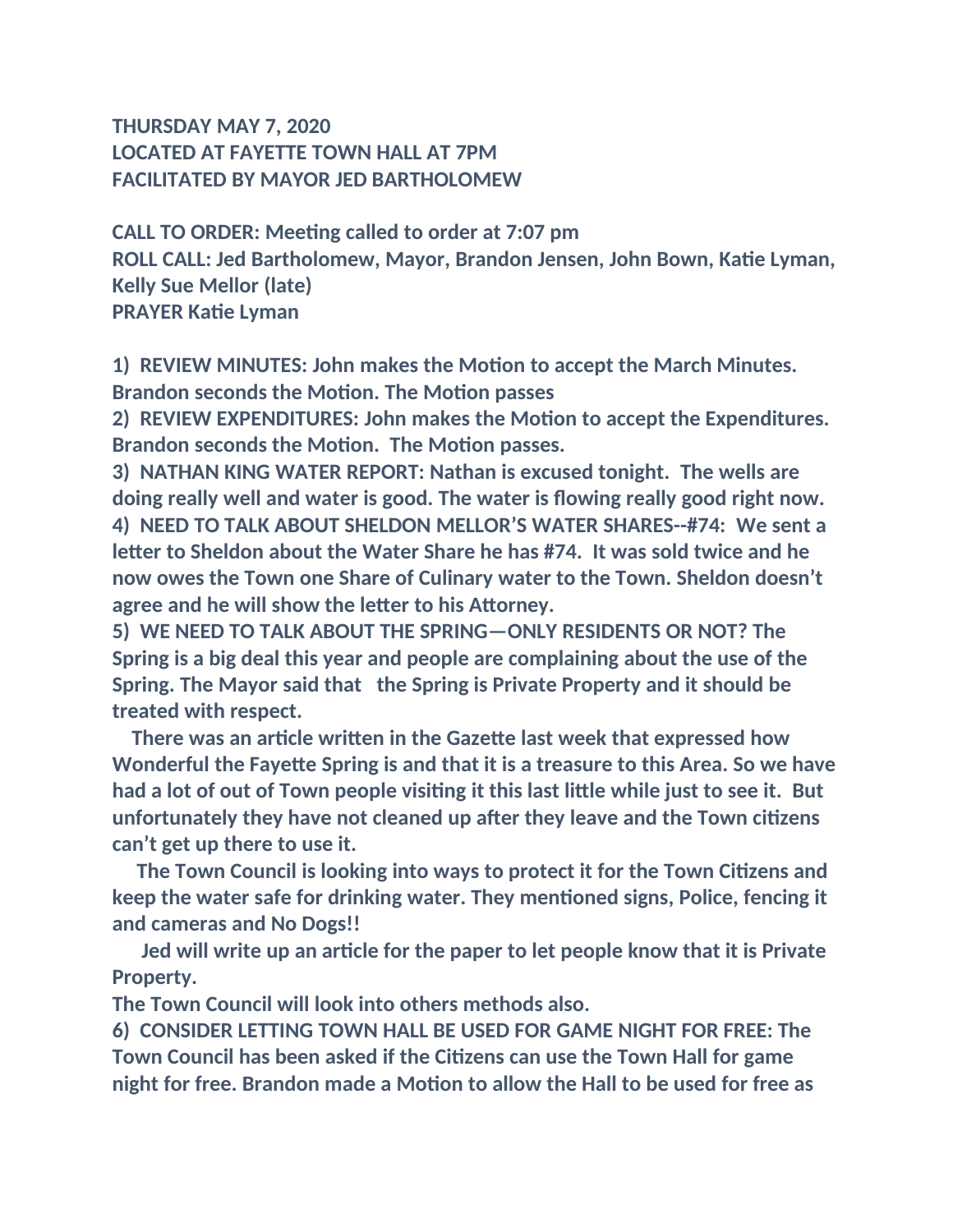## **THURSDAY MAY 7, 2020 LOCATED AT FAYETTE TOWN HALL AT 7PM FACILITATED BY MAYOR JED BARTHOLOMEW**

**CALL TO ORDER: Meeting called to order at 7:07 pm ROLL CALL: Jed Bartholomew, Mayor, Brandon Jensen, John Bown, Katie Lyman, Kelly Sue Mellor (late) PRAYER Katie Lyman**

**1) REVIEW MINUTES: John makes the Motion to accept the March Minutes. Brandon seconds the Motion. The Motion passes**

**2) REVIEW EXPENDITURES: John makes the Motion to accept the Expenditures. Brandon seconds the Motion. The Motion passes.**

**3) NATHAN KING WATER REPORT: Nathan is excused tonight. The wells are doing really well and water is good. The water is flowing really good right now. 4) NEED TO TALK ABOUT SHELDON MELLOR'S WATER SHARES--#74: We sent a letter to Sheldon about the Water Share he has #74. It was sold twice and he now owes the Town one Share of Culinary water to the Town. Sheldon doesn't agree and he will show the letter to his Attorney.**

**5) WE NEED TO TALK ABOUT THE SPRING—ONLY RESIDENTS OR NOT? The Spring is a big deal this year and people are complaining about the use of the Spring. The Mayor said that the Spring is Private Property and it should be treated with respect.**

 **There was an article written in the Gazette last week that expressed how Wonderful the Fayette Spring is and that it is a treasure to this Area. So we have had a lot of out of Town people visiting it this last little while just to see it. But unfortunately they have not cleaned up after they leave and the Town citizens can't get up there to use it.**

 **The Town Council is looking into ways to protect it for the Town Citizens and keep the water safe for drinking water. They mentioned signs, Police, fencing it and cameras and No Dogs!!**

 **Jed will write up an article for the paper to let people know that it is Private Property.**

**The Town Council will look into others methods also.**

**6) CONSIDER LETTING TOWN HALL BE USED FOR GAME NIGHT FOR FREE: The Town Council has been asked if the Citizens can use the Town Hall for game night for free. Brandon made a Motion to allow the Hall to be used for free as**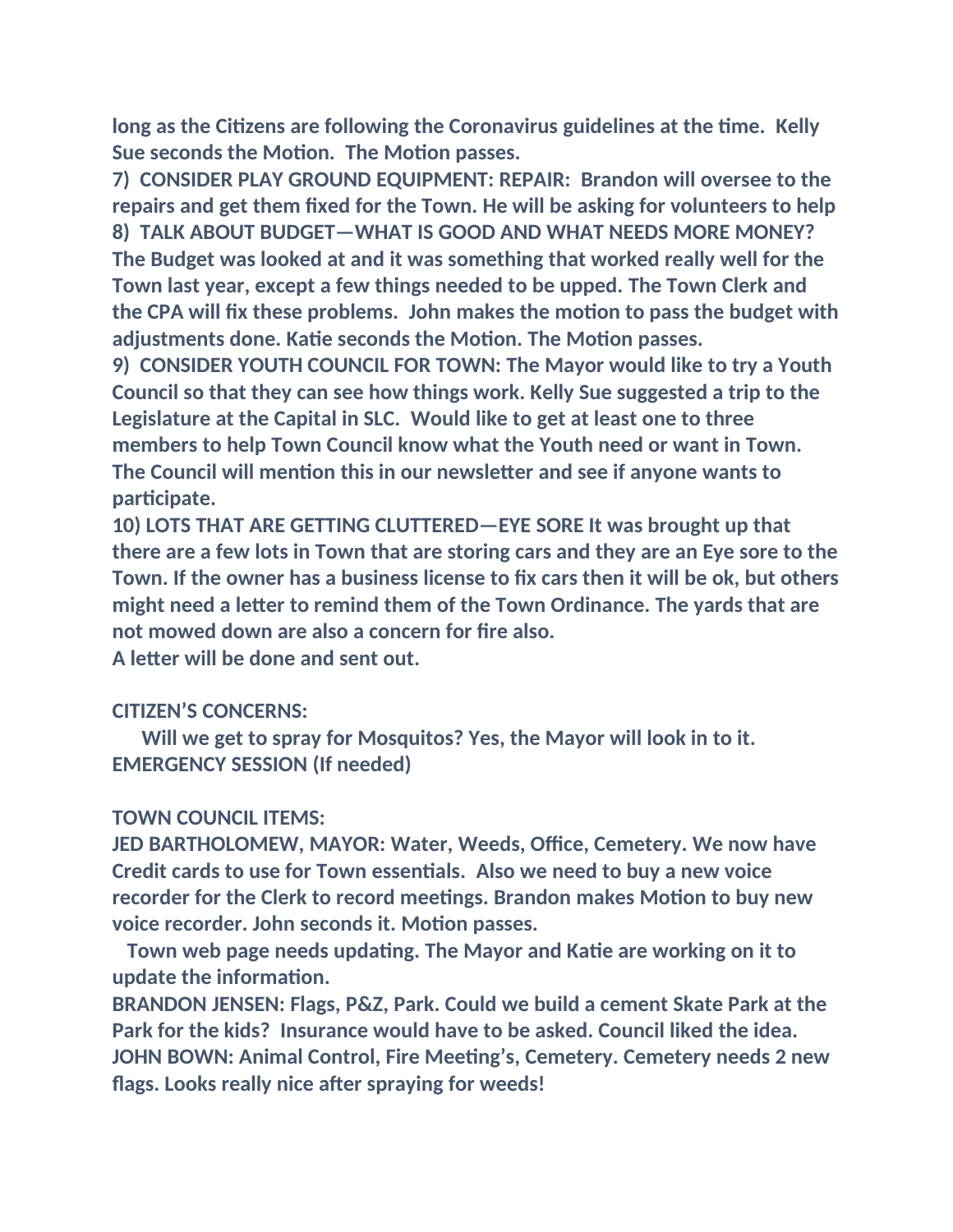**long as the Citizens are following the Coronavirus guidelines at the time. Kelly Sue seconds the Motion. The Motion passes.**

**7) CONSIDER PLAY GROUND EQUIPMENT: REPAIR: Brandon will oversee to the repairs and get them fixed for the Town. He will be asking for volunteers to help 8) TALK ABOUT BUDGET—WHAT IS GOOD AND WHAT NEEDS MORE MONEY? The Budget was looked at and it was something that worked really well for the Town last year, except a few things needed to be upped. The Town Clerk and the CPA will fix these problems. John makes the motion to pass the budget with adjustments done. Katie seconds the Motion. The Motion passes.**

**9) CONSIDER YOUTH COUNCIL FOR TOWN: The Mayor would like to try a Youth Council so that they can see how things work. Kelly Sue suggested a trip to the Legislature at the Capital in SLC. Would like to get at least one to three members to help Town Council know what the Youth need or want in Town. The Council will mention this in our newsletter and see if anyone wants to participate.**

**10) LOTS THAT ARE GETTING CLUTTERED—EYE SORE It was brought up that there are a few lots in Town that are storing cars and they are an Eye sore to the Town. If the owner has a business license to fix cars then it will be ok, but others might need a letter to remind them of the Town Ordinance. The yards that are not mowed down are also a concern for fire also.**

**A letter will be done and sent out.**

## **CITIZEN'S CONCERNS:**

 **Will we get to spray for Mosquitos? Yes, the Mayor will look in to it. EMERGENCY SESSION (If needed)**

## **TOWN COUNCIL ITEMS:**

**JED BARTHOLOMEW, MAYOR: Water, Weeds, Office, Cemetery. We now have Credit cards to use for Town essentials. Also we need to buy a new voice recorder for the Clerk to record meetings. Brandon makes Motion to buy new voice recorder. John seconds it. Motion passes.**

 **Town web page needs updating. The Mayor and Katie are working on it to update the information.**

**BRANDON JENSEN: Flags, P&Z, Park. Could we build a cement Skate Park at the Park for the kids? Insurance would have to be asked. Council liked the idea. JOHN BOWN: Animal Control, Fire Meeting's, Cemetery. Cemetery needs 2 new flags. Looks really nice after spraying for weeds!**